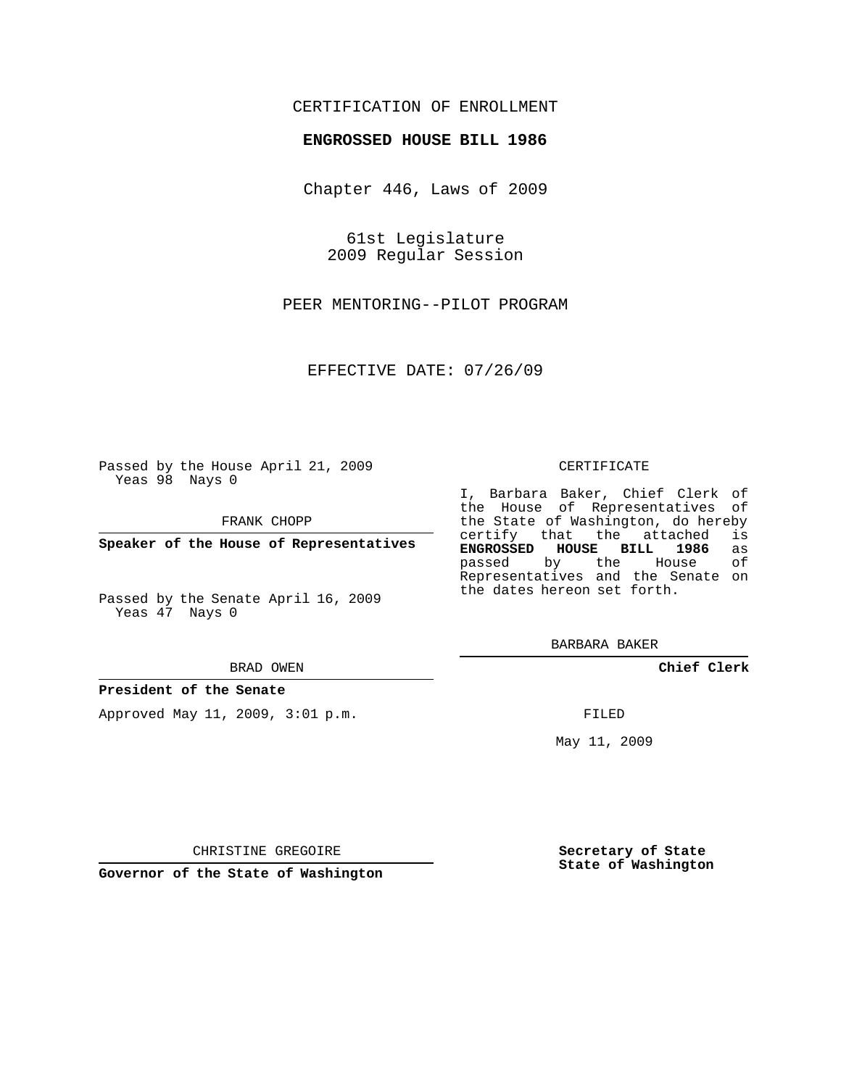## CERTIFICATION OF ENROLLMENT

### **ENGROSSED HOUSE BILL 1986**

Chapter 446, Laws of 2009

61st Legislature 2009 Regular Session

PEER MENTORING--PILOT PROGRAM

EFFECTIVE DATE: 07/26/09

Passed by the House April 21, 2009 Yeas 98 Nays 0

FRANK CHOPP

**Speaker of the House of Representatives**

Passed by the Senate April 16, 2009 Yeas 47 Nays 0

#### BRAD OWEN

#### **President of the Senate**

Approved May 11, 2009, 3:01 p.m.

#### CERTIFICATE

I, Barbara Baker, Chief Clerk of the House of Representatives of the State of Washington, do hereby<br>certify that the attached is certify that the attached **ENGROSSED HOUSE BILL 1986** as passed by the House Representatives and the Senate on the dates hereon set forth.

BARBARA BAKER

**Chief Clerk**

FILED

May 11, 2009

**Secretary of State State of Washington**

CHRISTINE GREGOIRE

**Governor of the State of Washington**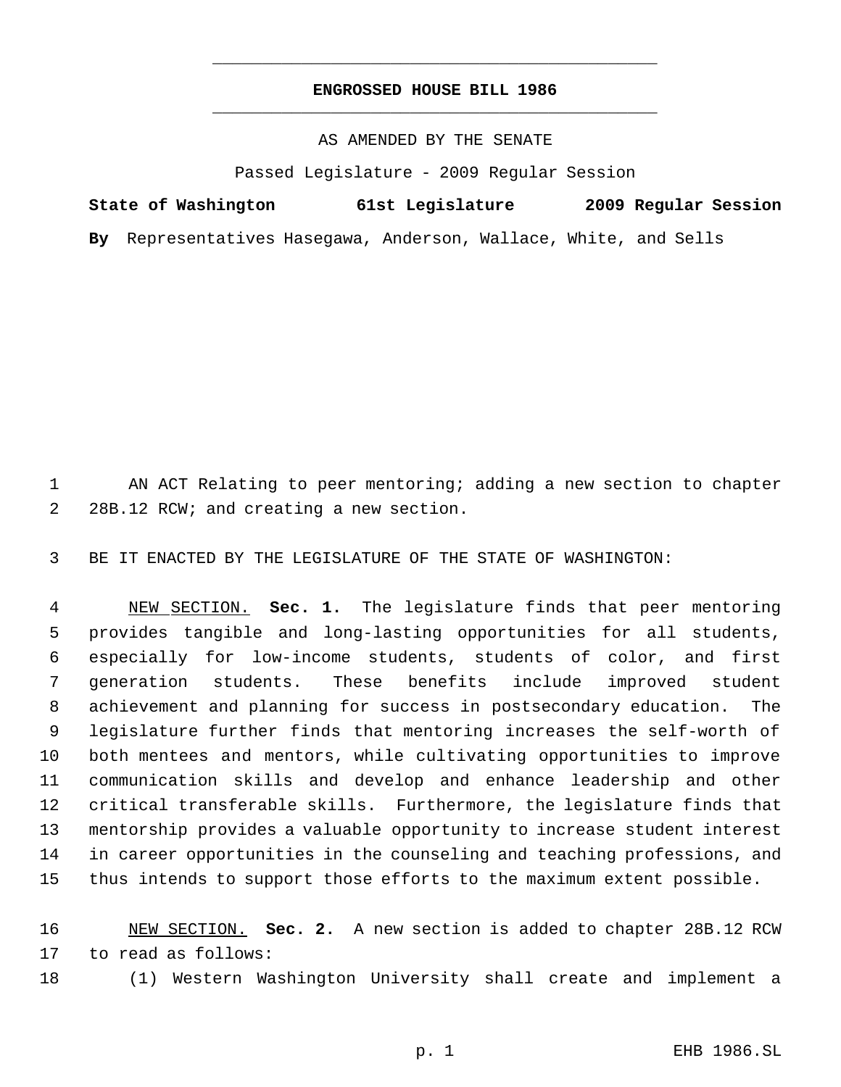# **ENGROSSED HOUSE BILL 1986** \_\_\_\_\_\_\_\_\_\_\_\_\_\_\_\_\_\_\_\_\_\_\_\_\_\_\_\_\_\_\_\_\_\_\_\_\_\_\_\_\_\_\_\_\_

\_\_\_\_\_\_\_\_\_\_\_\_\_\_\_\_\_\_\_\_\_\_\_\_\_\_\_\_\_\_\_\_\_\_\_\_\_\_\_\_\_\_\_\_\_

AS AMENDED BY THE SENATE

Passed Legislature - 2009 Regular Session

| State of Washington                                              | 61st Legislature |  | 2009 Regular Session |  |
|------------------------------------------------------------------|------------------|--|----------------------|--|
| By Representatives Hasegawa, Anderson, Wallace, White, and Sells |                  |  |                      |  |

 AN ACT Relating to peer mentoring; adding a new section to chapter 28B.12 RCW; and creating a new section.

BE IT ENACTED BY THE LEGISLATURE OF THE STATE OF WASHINGTON:

 NEW SECTION. **Sec. 1.** The legislature finds that peer mentoring provides tangible and long-lasting opportunities for all students, especially for low-income students, students of color, and first generation students. These benefits include improved student achievement and planning for success in postsecondary education. The legislature further finds that mentoring increases the self-worth of both mentees and mentors, while cultivating opportunities to improve communication skills and develop and enhance leadership and other critical transferable skills. Furthermore, the legislature finds that mentorship provides a valuable opportunity to increase student interest in career opportunities in the counseling and teaching professions, and thus intends to support those efforts to the maximum extent possible.

 NEW SECTION. **Sec. 2.** A new section is added to chapter 28B.12 RCW to read as follows:

(1) Western Washington University shall create and implement a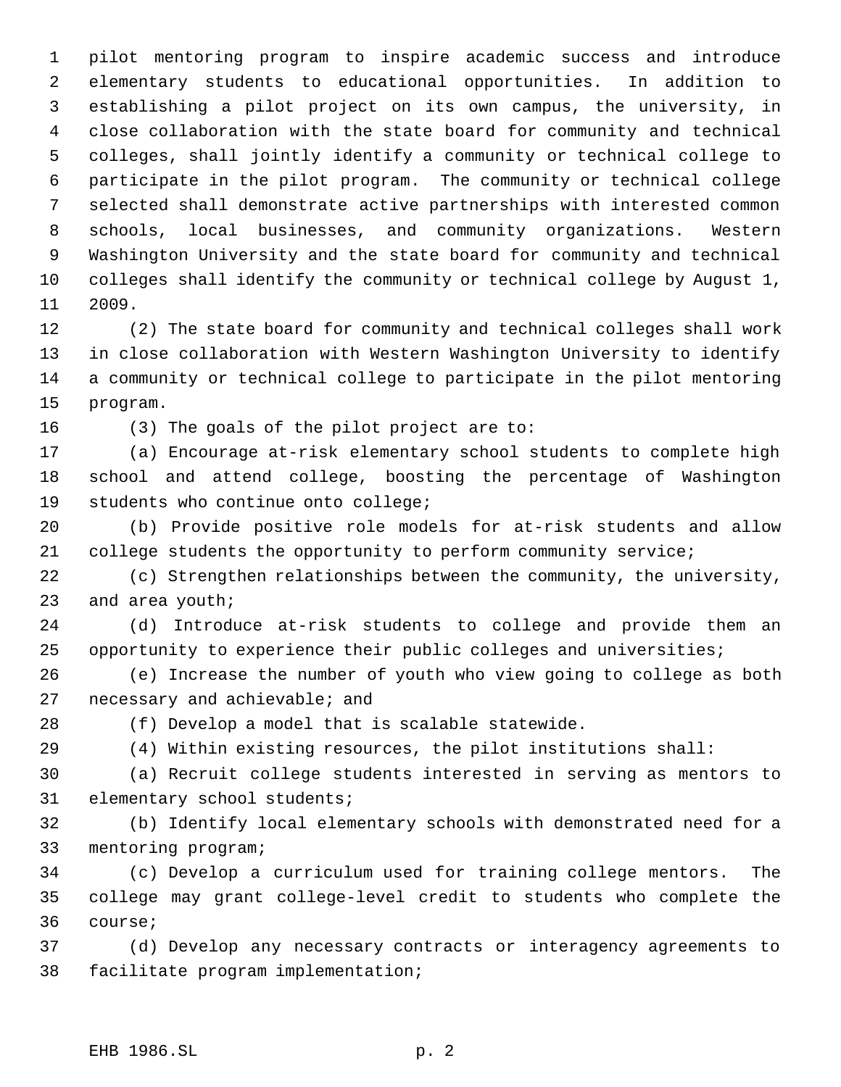pilot mentoring program to inspire academic success and introduce elementary students to educational opportunities. In addition to establishing a pilot project on its own campus, the university, in close collaboration with the state board for community and technical colleges, shall jointly identify a community or technical college to participate in the pilot program. The community or technical college selected shall demonstrate active partnerships with interested common schools, local businesses, and community organizations. Western Washington University and the state board for community and technical colleges shall identify the community or technical college by August 1, 2009.

 (2) The state board for community and technical colleges shall work in close collaboration with Western Washington University to identify a community or technical college to participate in the pilot mentoring program.

(3) The goals of the pilot project are to:

 (a) Encourage at-risk elementary school students to complete high school and attend college, boosting the percentage of Washington students who continue onto college;

 (b) Provide positive role models for at-risk students and allow college students the opportunity to perform community service;

 (c) Strengthen relationships between the community, the university, and area youth;

 (d) Introduce at-risk students to college and provide them an opportunity to experience their public colleges and universities;

 (e) Increase the number of youth who view going to college as both necessary and achievable; and

(f) Develop a model that is scalable statewide.

(4) Within existing resources, the pilot institutions shall:

 (a) Recruit college students interested in serving as mentors to elementary school students;

 (b) Identify local elementary schools with demonstrated need for a mentoring program;

 (c) Develop a curriculum used for training college mentors. The college may grant college-level credit to students who complete the course;

 (d) Develop any necessary contracts or interagency agreements to facilitate program implementation;